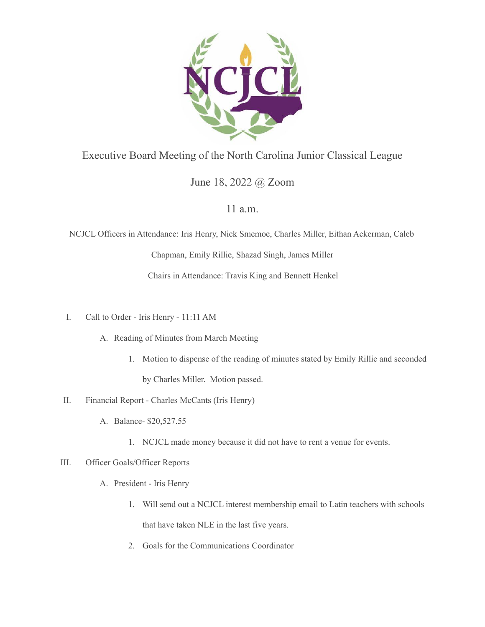

## Executive Board Meeting of the North Carolina Junior Classical League

# June 18, 2022 @ Zoom

### 11 a.m.

NCJCL Officers in Attendance: Iris Henry, Nick Smemoe, Charles Miller, Eithan Ackerman, Caleb

Chapman, Emily Rillie, Shazad Singh, James Miller

Chairs in Attendance: Travis King and Bennett Henkel

- I. Call to Order Iris Henry 11:11 AM
	- A. Reading of Minutes from March Meeting
		- 1. Motion to dispense of the reading of minutes stated by Emily Rillie and seconded

by Charles Miller. Motion passed.

- II. Financial Report Charles McCants (Iris Henry)
	- A. Balance- \$20,527.55
		- 1. NCJCL made money because it did not have to rent a venue for events.

### III. Officer Goals/Officer Reports

- A. President Iris Henry
	- 1. Will send out a NCJCL interest membership email to Latin teachers with schools that have taken NLE in the last five years.
	- 2. Goals for the Communications Coordinator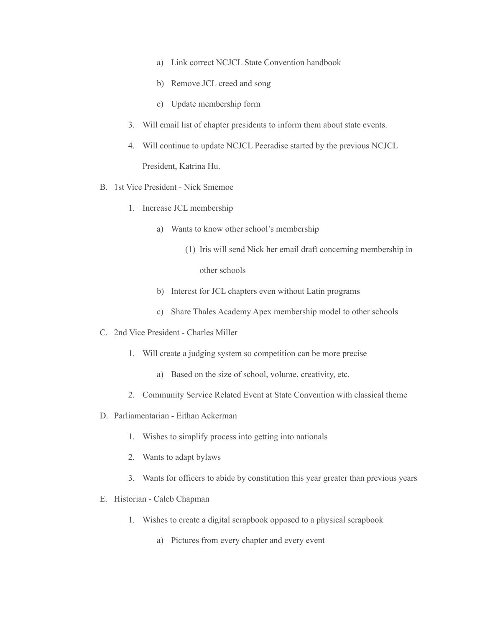- a) Link correct NCJCL State Convention handbook
- b) Remove JCL creed and song
- c) Update membership form
- 3. Will email list of chapter presidents to inform them about state events.
- 4. Will continue to update NCJCL Peeradise started by the previous NCJCL President, Katrina Hu.
- B. 1st Vice President Nick Smemoe
	- 1. Increase JCL membership
		- a) Wants to know other school's membership
			- (1) Iris will send Nick her email draft concerning membership in

other schools

- b) Interest for JCL chapters even without Latin programs
- c) Share Thales Academy Apex membership model to other schools
- C. 2nd Vice President Charles Miller
	- 1. Will create a judging system so competition can be more precise
		- a) Based on the size of school, volume, creativity, etc.
	- 2. Community Service Related Event at State Convention with classical theme
- D. Parliamentarian Eithan Ackerman
	- 1. Wishes to simplify process into getting into nationals
	- 2. Wants to adapt bylaws
	- 3. Wants for officers to abide by constitution this year greater than previous years
- E. Historian Caleb Chapman
	- 1. Wishes to create a digital scrapbook opposed to a physical scrapbook
		- a) Pictures from every chapter and every event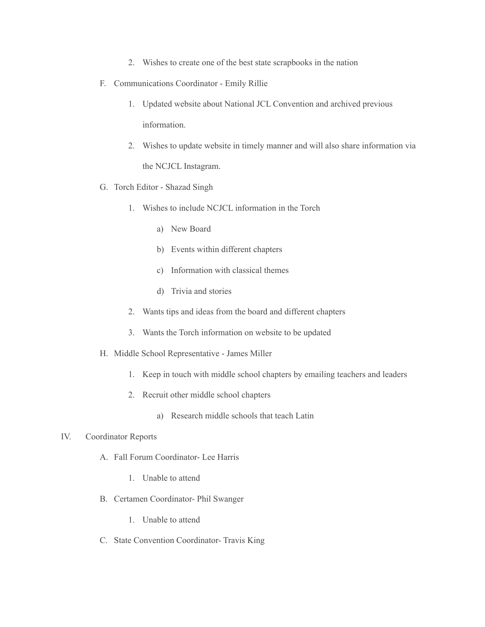- 2. Wishes to create one of the best state scrapbooks in the nation
- F. Communications Coordinator Emily Rillie
	- 1. Updated website about National JCL Convention and archived previous information.
	- 2. Wishes to update website in timely manner and will also share information via the NCJCL Instagram.
- G. Torch Editor Shazad Singh
	- 1. Wishes to include NCJCL information in the Torch
		- a) New Board
		- b) Events within different chapters
		- c) Information with classical themes
		- d) Trivia and stories
	- 2. Wants tips and ideas from the board and different chapters
	- 3. Wants the Torch information on website to be updated
- H. Middle School Representative James Miller
	- 1. Keep in touch with middle school chapters by emailing teachers and leaders
	- 2. Recruit other middle school chapters
		- a) Research middle schools that teach Latin

### IV. Coordinator Reports

- A. Fall Forum Coordinator- Lee Harris
	- 1. Unable to attend
- B. Certamen Coordinator- Phil Swanger
	- 1. Unable to attend
- C. State Convention Coordinator- Travis King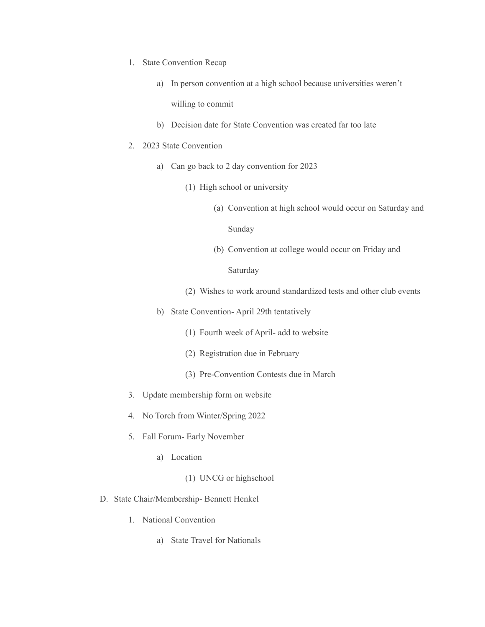- 1. State Convention Recap
	- a) In person convention at a high school because universities weren't willing to commit
	- b) Decision date for State Convention was created far too late
- 2. 2023 State Convention
	- a) Can go back to 2 day convention for 2023
		- (1) High school or university
			- (a) Convention at high school would occur on Saturday and

Sunday

(b) Convention at college would occur on Friday and

Saturday

- (2) Wishes to work around standardized tests and other club events
- b) State Convention- April 29th tentatively
	- (1) Fourth week of April- add to website
	- (2) Registration due in February
	- (3) Pre-Convention Contests due in March
- 3. Update membership form on website
- 4. No Torch from Winter/Spring 2022
- 5. Fall Forum- Early November
	- a) Location
		- (1) UNCG or highschool
- D. State Chair/Membership- Bennett Henkel
	- 1. National Convention
		- a) State Travel for Nationals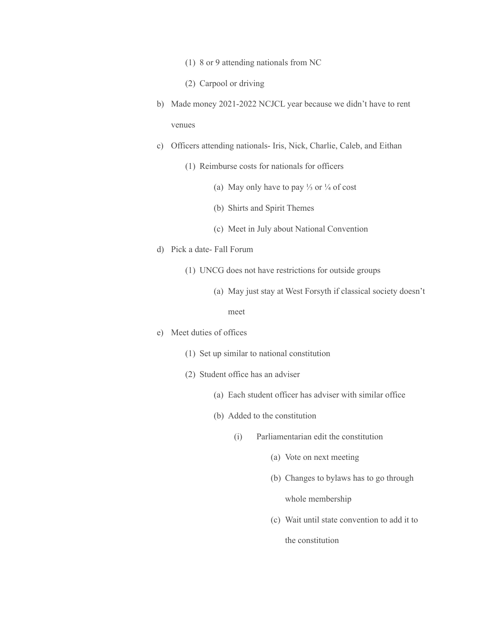- (1) 8 or 9 attending nationals from NC
- (2) Carpool or driving
- b) Made money 2021-2022 NCJCL year because we didn't have to rent venues
- c) Officers attending nationals- Iris, Nick, Charlie, Caleb, and Eithan
	- (1) Reimburse costs for nationals for officers
		- (a) May only have to pay ⅓ or ¼ of cost
		- (b) Shirts and Spirit Themes
		- (c) Meet in July about National Convention
- d) Pick a date- Fall Forum
	- (1) UNCG does not have restrictions for outside groups
		- (a) May just stay at West Forsyth if classical society doesn't

#### meet

- e) Meet duties of offices
	- (1) Set up similar to national constitution
	- (2) Student office has an adviser
		- (a) Each student officer has adviser with similar office
		- (b) Added to the constitution
			- (i) Parliamentarian edit the constitution
				- (a) Vote on next meeting
				- (b) Changes to bylaws has to go through

whole membership

(c) Wait until state convention to add it to

the constitution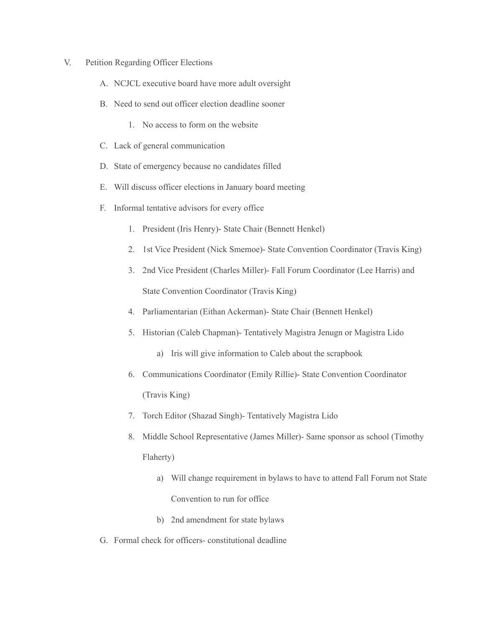- V. Petition Regarding Officer Elections
	- A. NCJCL executive board have more adult oversight
	- B. Need to send out officer election deadline sooner
		- 1. No access to form on the website
	- C. Lack of general communication
	- D. State of emergency because no candidates filled
	- E. Will discuss officer elections in January board meeting
	- F. Informal tentative advisors for every office
		- 1. President (Iris Henry)- State Chair (Bennett Henkel)
		- 2. 1st Vice President (Nick Smemoe)- State Convention Coordinator (Travis King)
		- 3. 2nd Vice President (Charles Miller)- Fall Forum Coordinator (Lee Harris) and State Convention Coordinator (Travis King)
		- 4. Parliamentarian (Eithan Ackerman)- State Chair (Bennett Henkel)
		- 5. Historian (Caleb Chapman)- Tentatively Magistra Jenugn or Magistra Lido
			- a) Iris will give information to Caleb about the scrapbook
		- 6. Communications Coordinator (Emily Rillie)- State Convention Coordinator (Travis King)
		- 7. Torch Editor (Shazad Singh)- Tentatively Magistra Lido
		- 8. Middle School Representative (James Miller)- Same sponsor as school (Timothy Flaherty)
			- a) Will change requirement in bylaws to have to attend Fall Forum not State Convention to run for office
			- b) 2nd amendment for state bylaws
	- G. Formal check for officers- constitutional deadline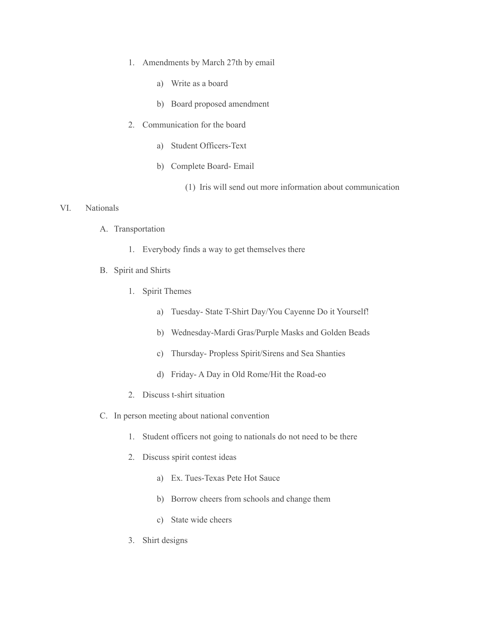- 1. Amendments by March 27th by email
	- a) Write as a board
	- b) Board proposed amendment
- 2. Communication for the board
	- a) Student Officers-Text
	- b) Complete Board- Email
		- (1) Iris will send out more information about communication

#### VI. Nationals

- A. Transportation
	- 1. Everybody finds a way to get themselves there
- B. Spirit and Shirts
	- 1. Spirit Themes
		- a) Tuesday- State T-Shirt Day/You Cayenne Do it Yourself!
		- b) Wednesday-Mardi Gras/Purple Masks and Golden Beads
		- c) Thursday- Propless Spirit/Sirens and Sea Shanties
		- d) Friday- A Day in Old Rome/Hit the Road-eo
	- 2. Discuss t-shirt situation
- C. In person meeting about national convention
	- 1. Student officers not going to nationals do not need to be there
	- 2. Discuss spirit contest ideas
		- a) Ex. Tues-Texas Pete Hot Sauce
		- b) Borrow cheers from schools and change them
		- c) State wide cheers
	- 3. Shirt designs